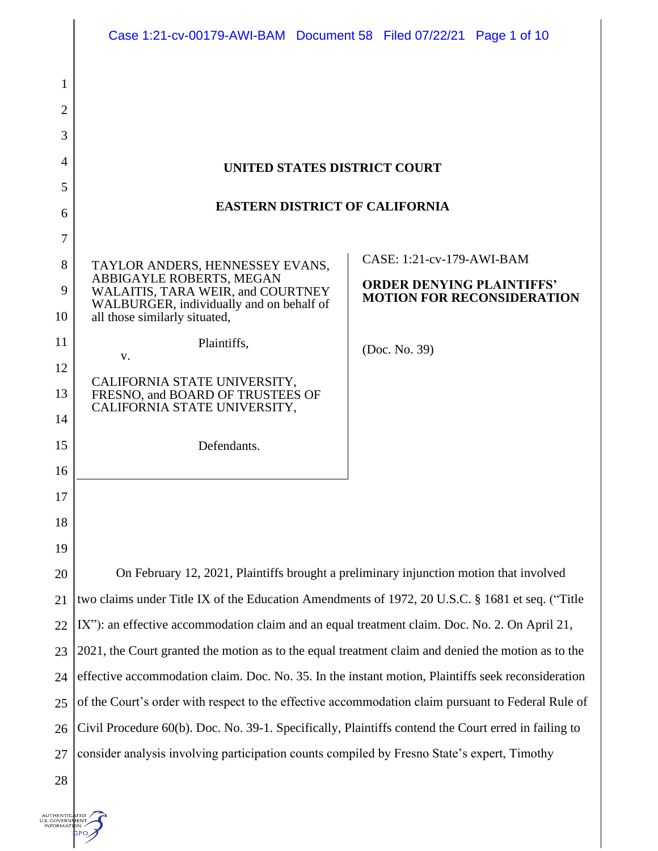|                | Case 1:21-cv-00179-AWI-BAM Document 58 Filed 07/22/21 Page 1 of 10                                                                         |  |                                                                       |  |  |
|----------------|--------------------------------------------------------------------------------------------------------------------------------------------|--|-----------------------------------------------------------------------|--|--|
| 1              |                                                                                                                                            |  |                                                                       |  |  |
| $\overline{2}$ |                                                                                                                                            |  |                                                                       |  |  |
| 3              |                                                                                                                                            |  |                                                                       |  |  |
| 4              |                                                                                                                                            |  |                                                                       |  |  |
| 5              | UNITED STATES DISTRICT COURT                                                                                                               |  |                                                                       |  |  |
| 6              | <b>EASTERN DISTRICT OF CALIFORNIA</b>                                                                                                      |  |                                                                       |  |  |
| 7              |                                                                                                                                            |  |                                                                       |  |  |
| 8              | TAYLOR ANDERS, HENNESSEY EVANS,                                                                                                            |  | CASE: 1:21-cv-179-AWI-BAM                                             |  |  |
| 9              | ABBIGAYLE ROBERTS, MEGAN<br>WALAITIS, TARA WEIR, and COURTNEY<br>WALBURGER, individually and on behalf of<br>all those similarly situated, |  | <b>ORDER DENYING PLAINTIFFS'</b><br><b>MOTION FOR RECONSIDERATION</b> |  |  |
| 10             |                                                                                                                                            |  |                                                                       |  |  |
| 11             | Plaintiffs,                                                                                                                                |  | (Doc. No. 39)                                                         |  |  |
| 12             | V.                                                                                                                                         |  |                                                                       |  |  |
| 13             | CALIFORNIA STATE UNIVERSITY,<br>FRESNO, and BOARD OF TRUSTEES OF                                                                           |  |                                                                       |  |  |
| 14             | CALIFORNIA STATE UNIVERSITY,                                                                                                               |  |                                                                       |  |  |
| 15             | Defendants.                                                                                                                                |  |                                                                       |  |  |
| 16             |                                                                                                                                            |  |                                                                       |  |  |
| 17             |                                                                                                                                            |  |                                                                       |  |  |
| 18             |                                                                                                                                            |  |                                                                       |  |  |
| 19             |                                                                                                                                            |  |                                                                       |  |  |
| 20             | On February 12, 2021, Plaintiffs brought a preliminary injunction motion that involved                                                     |  |                                                                       |  |  |
| 21             | two claims under Title IX of the Education Amendments of 1972, 20 U.S.C. § 1681 et seq. ("Title                                            |  |                                                                       |  |  |
| 22             | IX"): an effective accommodation claim and an equal treatment claim. Doc. No. 2. On April 21,                                              |  |                                                                       |  |  |
| 23             | 2021, the Court granted the motion as to the equal treatment claim and denied the motion as to the                                         |  |                                                                       |  |  |
| 24             | effective accommodation claim. Doc. No. 35. In the instant motion, Plaintiffs seek reconsideration                                         |  |                                                                       |  |  |
| 25             | of the Court's order with respect to the effective accommodation claim pursuant to Federal Rule of                                         |  |                                                                       |  |  |
| 26             | Civil Procedure 60(b). Doc. No. 39-1. Specifically, Plaintiffs contend the Court erred in failing to                                       |  |                                                                       |  |  |
| 27             | consider analysis involving participation counts compiled by Fresno State's expert, Timothy                                                |  |                                                                       |  |  |
| 28             |                                                                                                                                            |  |                                                                       |  |  |

AUTHENTIC TED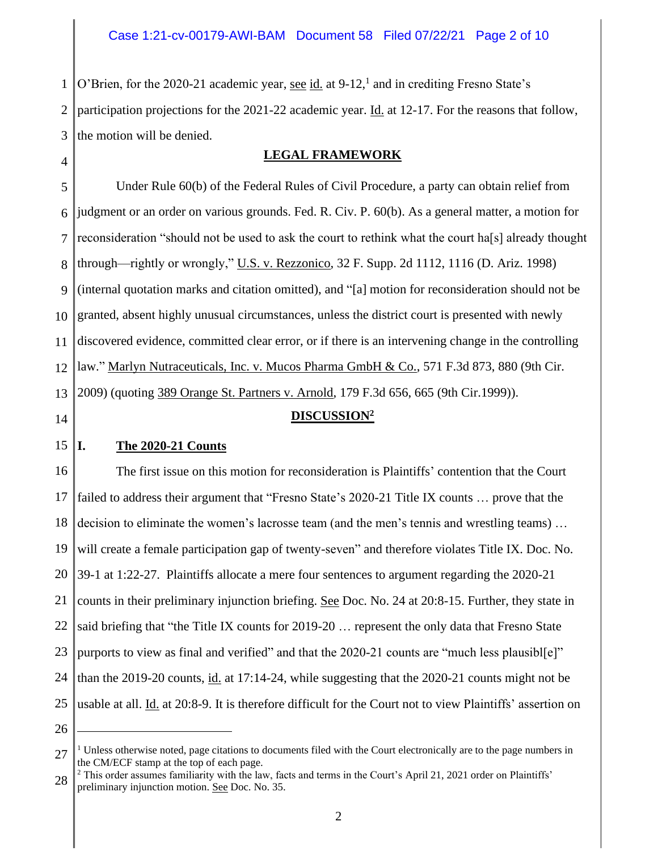1 2 3 O'Brien, for the 2020-21 academic year, see id. at 9-12,<sup>1</sup> and in crediting Fresno State's participation projections for the 2021-22 academic year. Id. at 12-17. For the reasons that follow, the motion will be denied.

4

# **LEGAL FRAMEWORK**

5 6 7 8 9 10 11 12 13 Under Rule 60(b) of the Federal Rules of Civil Procedure, a party can obtain relief from judgment or an order on various grounds. Fed. R. Civ. P. 60(b). As a general matter, a motion for reconsideration "should not be used to ask the court to rethink what the court ha[s] already thought through—rightly or wrongly," U.S. v. Rezzonico, 32 F. Supp. 2d 1112, 1116 (D. Ariz. 1998) (internal quotation marks and citation omitted), and "[a] motion for reconsideration should not be granted, absent highly unusual circumstances, unless the district court is presented with newly discovered evidence, committed clear error, or if there is an intervening change in the controlling law." Marlyn Nutraceuticals, Inc. v. Mucos Pharma GmbH & Co., 571 F.3d 873, 880 (9th Cir. 2009) (quoting 389 Orange St. Partners v. Arnold, 179 F.3d 656, 665 (9th Cir.1999)).

# **DISCUSSION<sup>2</sup>**

14

#### 15 **I. The 2020-21 Counts**

16 17 18 19 20 21 22 23 24 25 The first issue on this motion for reconsideration is Plaintiffs' contention that the Court failed to address their argument that "Fresno State's 2020-21 Title IX counts … prove that the decision to eliminate the women's lacrosse team (and the men's tennis and wrestling teams) … will create a female participation gap of twenty-seven" and therefore violates Title IX. Doc. No. 39-1 at 1:22-27. Plaintiffs allocate a mere four sentences to argument regarding the 2020-21 counts in their preliminary injunction briefing. See Doc. No. 24 at 20:8-15. Further, they state in said briefing that "the Title IX counts for 2019-20 … represent the only data that Fresno State purports to view as final and verified" and that the 2020-21 counts are "much less plausibl[e]" than the 2019-20 counts,  $\underline{\text{id}}$  at 17:14-24, while suggesting that the 2020-21 counts might not be usable at all. Id. at 20:8-9. It is therefore difficult for the Court not to view Plaintiffs' assertion on

<sup>27</sup>  $<sup>1</sup>$  Unless otherwise noted, page citations to documents filed with the Court electronically are to the page numbers in</sup> the CM/ECF stamp at the top of each page.

<sup>28</sup>  $2$  This order assumes familiarity with the law, facts and terms in the Court's April 21, 2021 order on Plaintiffs' preliminary injunction motion. See Doc. No. 35.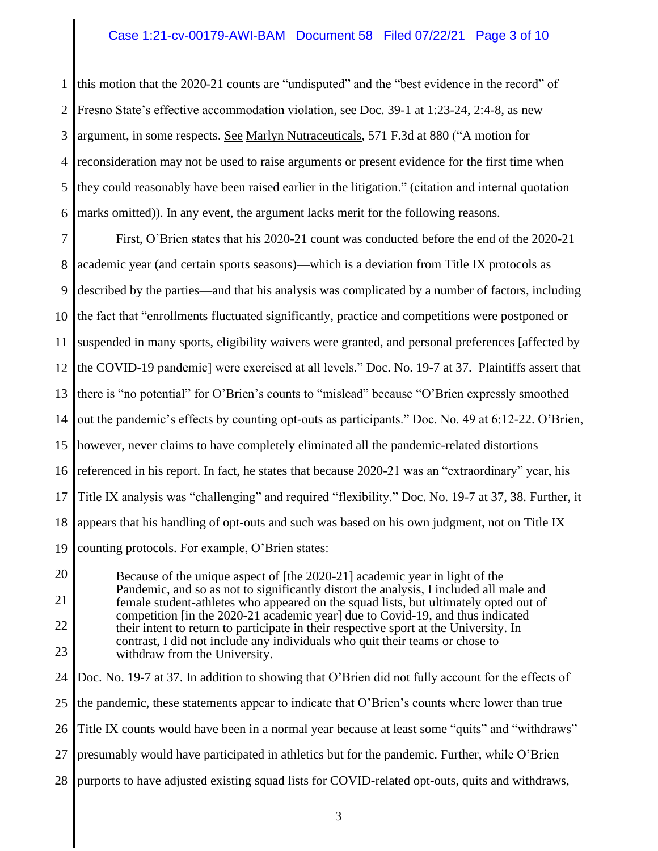## Case 1:21-cv-00179-AWI-BAM Document 58 Filed 07/22/21 Page 3 of 10

1 2 3 4 5 6 this motion that the 2020-21 counts are "undisputed" and the "best evidence in the record" of Fresno State's effective accommodation violation, see Doc. 39-1 at 1:23-24, 2:4-8, as new argument, in some respects. See Marlyn Nutraceuticals, 571 F.3d at 880 ("A motion for reconsideration may not be used to raise arguments or present evidence for the first time when they could reasonably have been raised earlier in the litigation." (citation and internal quotation marks omitted)). In any event, the argument lacks merit for the following reasons.

7 8 9 10 11 12 13 14 15 16 17 18 19 First, O'Brien states that his 2020-21 count was conducted before the end of the 2020-21 academic year (and certain sports seasons)—which is a deviation from Title IX protocols as described by the parties—and that his analysis was complicated by a number of factors, including the fact that "enrollments fluctuated significantly, practice and competitions were postponed or suspended in many sports, eligibility waivers were granted, and personal preferences [affected by the COVID-19 pandemic] were exercised at all levels." Doc. No. 19-7 at 37. Plaintiffs assert that there is "no potential" for O'Brien's counts to "mislead" because "O'Brien expressly smoothed out the pandemic's effects by counting opt-outs as participants." Doc. No. 49 at 6:12-22. O'Brien, however, never claims to have completely eliminated all the pandemic-related distortions referenced in his report. In fact, he states that because 2020-21 was an "extraordinary" year, his Title IX analysis was "challenging" and required "flexibility." Doc. No. 19-7 at 37, 38. Further, it appears that his handling of opt-outs and such was based on his own judgment, not on Title IX counting protocols. For example, O'Brien states:

20 21 22 23 Because of the unique aspect of [the 2020-21] academic year in light of the Pandemic, and so as not to significantly distort the analysis, I included all male and female student-athletes who appeared on the squad lists, but ultimately opted out of competition [in the 2020-21 academic year] due to Covid-19, and thus indicated their intent to return to participate in their respective sport at the University. In contrast, I did not include any individuals who quit their teams or chose to withdraw from the University.

24 25 26 27 28 Doc. No. 19-7 at 37. In addition to showing that O'Brien did not fully account for the effects of the pandemic, these statements appear to indicate that O'Brien's counts where lower than true Title IX counts would have been in a normal year because at least some "quits" and "withdraws" presumably would have participated in athletics but for the pandemic. Further, while O'Brien purports to have adjusted existing squad lists for COVID-related opt-outs, quits and withdraws,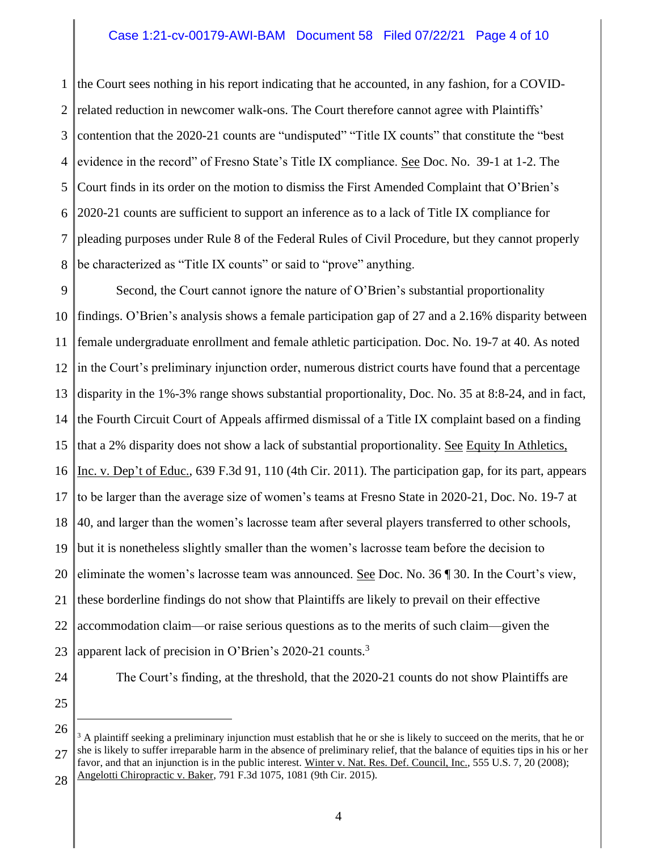## Case 1:21-cv-00179-AWI-BAM Document 58 Filed 07/22/21 Page 4 of 10

1 2 3 4 5 6 7 8 the Court sees nothing in his report indicating that he accounted, in any fashion, for a COVIDrelated reduction in newcomer walk-ons. The Court therefore cannot agree with Plaintiffs' contention that the 2020-21 counts are "undisputed" "Title IX counts" that constitute the "best evidence in the record" of Fresno State's Title IX compliance. See Doc. No. 39-1 at 1-2. The Court finds in its order on the motion to dismiss the First Amended Complaint that O'Brien's 2020-21 counts are sufficient to support an inference as to a lack of Title IX compliance for pleading purposes under Rule 8 of the Federal Rules of Civil Procedure, but they cannot properly be characterized as "Title IX counts" or said to "prove" anything.

9 10 11 12 13 14 15 16 17 18 19 20 21 22 23 Second, the Court cannot ignore the nature of O'Brien's substantial proportionality findings. O'Brien's analysis shows a female participation gap of 27 and a 2.16% disparity between female undergraduate enrollment and female athletic participation. Doc. No. 19-7 at 40. As noted in the Court's preliminary injunction order, numerous district courts have found that a percentage disparity in the 1%-3% range shows substantial proportionality, Doc. No. 35 at 8:8-24, and in fact, the Fourth Circuit Court of Appeals affirmed dismissal of a Title IX complaint based on a finding that a 2% disparity does not show a lack of substantial proportionality. See Equity In Athletics, Inc. v. Dep't of Educ., 639 F.3d 91, 110 (4th Cir. 2011). The participation gap, for its part, appears to be larger than the average size of women's teams at Fresno State in 2020-21, Doc. No. 19-7 at 40, and larger than the women's lacrosse team after several players transferred to other schools, but it is nonetheless slightly smaller than the women's lacrosse team before the decision to eliminate the women's lacrosse team was announced. See Doc. No. 36  $\parallel$  30. In the Court's view, these borderline findings do not show that Plaintiffs are likely to prevail on their effective accommodation claim—or raise serious questions as to the merits of such claim—given the apparent lack of precision in O'Brien's 2020-21 counts.<sup>3</sup>

24 25 The Court's finding, at the threshold, that the 2020-21 counts do not show Plaintiffs are

26 27 28  $3$  A plaintiff seeking a preliminary injunction must establish that he or she is likely to succeed on the merits, that he or she is likely to suffer irreparable harm in the absence of preliminary relief, that the balance of equities tips in his or her favor, and that an injunction is in the public interest. Winter v. Nat. Res. Def. Council, Inc., 555 U.S. 7, 20 (2008); Angelotti Chiropractic v. Baker, 791 F.3d 1075, 1081 (9th Cir. 2015).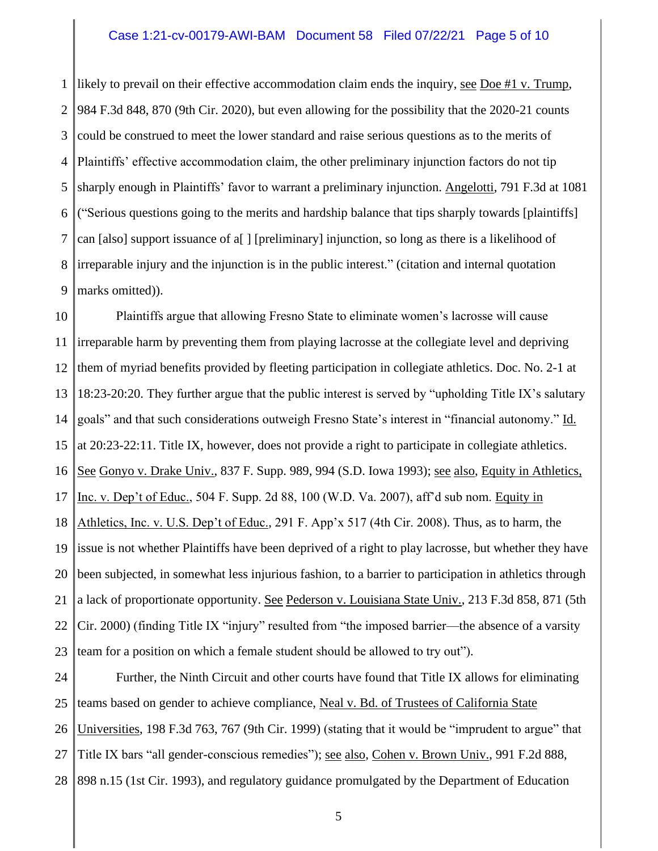### Case 1:21-cv-00179-AWI-BAM Document 58 Filed 07/22/21 Page 5 of 10

1 2 3 4 5 6 7 8 9 likely to prevail on their effective accommodation claim ends the inquiry, see Doe #1 v. Trump, 984 F.3d 848, 870 (9th Cir. 2020), but even allowing for the possibility that the 2020-21 counts could be construed to meet the lower standard and raise serious questions as to the merits of Plaintiffs' effective accommodation claim, the other preliminary injunction factors do not tip sharply enough in Plaintiffs' favor to warrant a preliminary injunction. Angelotti, 791 F.3d at 1081 ("Serious questions going to the merits and hardship balance that tips sharply towards [plaintiffs] can [also] support issuance of a[ ] [preliminary] injunction, so long as there is a likelihood of irreparable injury and the injunction is in the public interest." (citation and internal quotation marks omitted)).

10 11 12 13 14 15 16 17 18 19 20 21 22 23 Plaintiffs argue that allowing Fresno State to eliminate women's lacrosse will cause irreparable harm by preventing them from playing lacrosse at the collegiate level and depriving them of myriad benefits provided by fleeting participation in collegiate athletics. Doc. No. 2-1 at 18:23-20:20. They further argue that the public interest is served by "upholding Title IX's salutary goals" and that such considerations outweigh Fresno State's interest in "financial autonomy." Id. at 20:23-22:11. Title IX, however, does not provide a right to participate in collegiate athletics. See Gonyo v. Drake Univ., 837 F. Supp. 989, 994 (S.D. Iowa 1993); see also, Equity in Athletics, Inc. v. Dep't of Educ., 504 F. Supp. 2d 88, 100 (W.D. Va. 2007), aff'd sub nom. Equity in Athletics, Inc. v. U.S. Dep't of Educ., 291 F. App'x 517 (4th Cir. 2008). Thus, as to harm, the issue is not whether Plaintiffs have been deprived of a right to play lacrosse, but whether they have been subjected, in somewhat less injurious fashion, to a barrier to participation in athletics through a lack of proportionate opportunity. See Pederson v. Louisiana State Univ., 213 F.3d 858, 871 (5th Cir. 2000) (finding Title IX "injury" resulted from "the imposed barrier—the absence of a varsity team for a position on which a female student should be allowed to try out").

24 25 26 27 28 Further, the Ninth Circuit and other courts have found that Title IX allows for eliminating teams based on gender to achieve compliance, Neal v. Bd. of Trustees of California State Universities, 198 F.3d 763, 767 (9th Cir. 1999) (stating that it would be "imprudent to argue" that Title IX bars "all gender-conscious remedies"); <u>see also, Cohen v. Brown Univ.,</u> 991 F.2d 888, 898 n.15 (1st Cir. 1993), and regulatory guidance promulgated by the Department of Education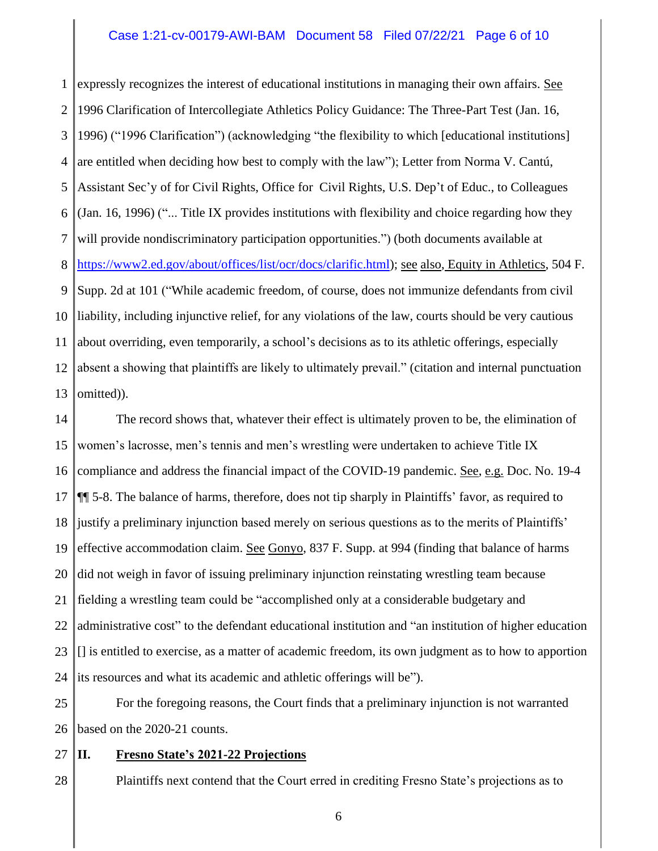## Case 1:21-cv-00179-AWI-BAM Document 58 Filed 07/22/21 Page 6 of 10

1 2 3 4 5 6 7 8 9 10 11 12 13 expressly recognizes the interest of educational institutions in managing their own affairs. See 1996 Clarification of Intercollegiate Athletics Policy Guidance: The Three-Part Test (Jan. 16, 1996) ("1996 Clarification") (acknowledging "the flexibility to which [educational institutions] are entitled when deciding how best to comply with the law"); Letter from Norma V. Cantú, Assistant Sec'y of for Civil Rights, Office for Civil Rights, U.S. Dep't of Educ., to Colleagues (Jan. 16, 1996) ("... Title IX provides institutions with flexibility and choice regarding how they will provide nondiscriminatory participation opportunities.") (both documents available at [https://www2.ed.gov/about/offices/list/ocr/docs/clarific.html\)](https://www2.ed.gov/about/offices/list/ocr/docs/clarific.html); see also, Equity in Athletics, 504 F. Supp. 2d at 101 ("While academic freedom, of course, does not immunize defendants from civil liability, including injunctive relief, for any violations of the law, courts should be very cautious about overriding, even temporarily, a school's decisions as to its athletic offerings, especially absent a showing that plaintiffs are likely to ultimately prevail." (citation and internal punctuation omitted)).

14 15 16 17 18 19 20 21 22 23 24 The record shows that, whatever their effect is ultimately proven to be, the elimination of women's lacrosse, men's tennis and men's wrestling were undertaken to achieve Title IX compliance and address the financial impact of the COVID-19 pandemic. See, e.g. Doc. No. 19-4 ¶¶ 5-8. The balance of harms, therefore, does not tip sharply in Plaintiffs' favor, as required to justify a preliminary injunction based merely on serious questions as to the merits of Plaintiffs' effective accommodation claim. See Gonyo, 837 F. Supp. at 994 (finding that balance of harms did not weigh in favor of issuing preliminary injunction reinstating wrestling team because fielding a wrestling team could be "accomplished only at a considerable budgetary and administrative cost" to the defendant educational institution and "an institution of higher education [] is entitled to exercise, as a matter of academic freedom, its own judgment as to how to apportion its resources and what its academic and athletic offerings will be").

25 26 For the foregoing reasons, the Court finds that a preliminary injunction is not warranted based on the 2020-21 counts.

27

## **II. Fresno State's 2021-22 Projections**

28 Plaintiffs next contend that the Court erred in crediting Fresno State's projections as to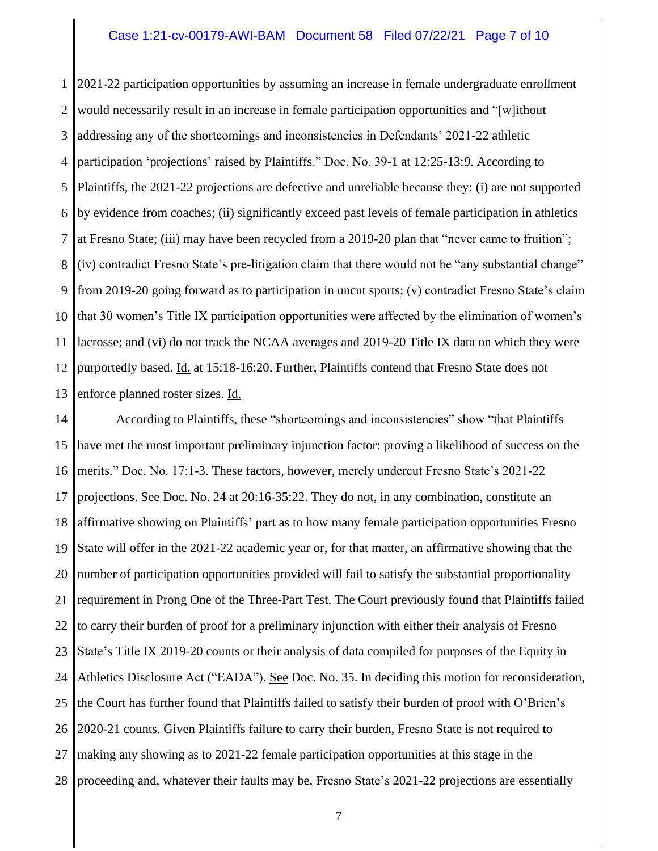#### Case 1:21-cv-00179-AWI-BAM Document 58 Filed 07/22/21 Page 7 of 10

1 2 3 4 5 6 7 8 9 10 11 12 13 2021-22 participation opportunities by assuming an increase in female undergraduate enrollment would necessarily result in an increase in female participation opportunities and "[w]ithout addressing any of the shortcomings and inconsistencies in Defendants' 2021-22 athletic participation 'projections' raised by Plaintiffs." Doc. No. 39-1 at 12:25-13:9. According to Plaintiffs, the 2021-22 projections are defective and unreliable because they: (i) are not supported by evidence from coaches; (ii) significantly exceed past levels of female participation in athletics at Fresno State; (iii) may have been recycled from a 2019-20 plan that "never came to fruition"; (iv) contradict Fresno State's pre-litigation claim that there would not be "any substantial change" from 2019-20 going forward as to participation in uncut sports; (v) contradict Fresno State's claim that 30 women's Title IX participation opportunities were affected by the elimination of women's lacrosse; and (vi) do not track the NCAA averages and 2019-20 Title IX data on which they were purportedly based. Id. at 15:18-16:20. Further, Plaintiffs contend that Fresno State does not enforce planned roster sizes. Id.

14 15 16 17 18 19 20 21 22 23 24 25 26 27 28 According to Plaintiffs, these "shortcomings and inconsistencies" show "that Plaintiffs have met the most important preliminary injunction factor: proving a likelihood of success on the merits." Doc. No. 17:1-3. These factors, however, merely undercut Fresno State's 2021-22 projections. See Doc. No. 24 at 20:16-35:22. They do not, in any combination, constitute an affirmative showing on Plaintiffs' part as to how many female participation opportunities Fresno State will offer in the 2021-22 academic year or, for that matter, an affirmative showing that the number of participation opportunities provided will fail to satisfy the substantial proportionality requirement in Prong One of the Three-Part Test. The Court previously found that Plaintiffs failed to carry their burden of proof for a preliminary injunction with either their analysis of Fresno State's Title IX 2019-20 counts or their analysis of data compiled for purposes of the Equity in Athletics Disclosure Act ("EADA"). See Doc. No. 35. In deciding this motion for reconsideration, the Court has further found that Plaintiffs failed to satisfy their burden of proof with O'Brien's 2020-21 counts. Given Plaintiffs failure to carry their burden, Fresno State is not required to making any showing as to 2021-22 female participation opportunities at this stage in the proceeding and, whatever their faults may be, Fresno State's 2021-22 projections are essentially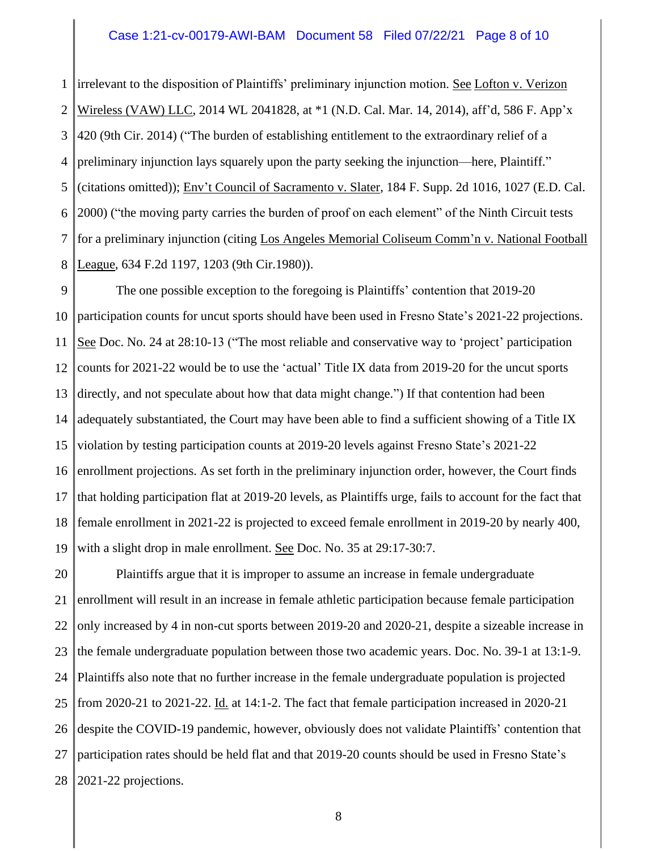#### Case 1:21-cv-00179-AWI-BAM Document 58 Filed 07/22/21 Page 8 of 10

1 2 3 4 5 6 7 8 irrelevant to the disposition of Plaintiffs' preliminary injunction motion. See Lofton v. Verizon Wireless (VAW) LLC, 2014 WL 2041828, at \*1 (N.D. Cal. Mar. 14, 2014), aff'd, 586 F. App'x 420 (9th Cir. 2014) ("The burden of establishing entitlement to the extraordinary relief of a preliminary injunction lays squarely upon the party seeking the injunction—here, Plaintiff." (citations omitted)); Env't Council of Sacramento v. Slater, 184 F. Supp. 2d 1016, 1027 (E.D. Cal. 2000) ("the moving party carries the burden of proof on each element" of the Ninth Circuit tests for a preliminary injunction (citing Los Angeles Memorial Coliseum Comm'n v. National Football League, 634 F.2d 1197, 1203 (9th Cir.1980)).

9 10 11 12 13 14 15 16 17 18 19 The one possible exception to the foregoing is Plaintiffs' contention that 2019-20 participation counts for uncut sports should have been used in Fresno State's 2021-22 projections. See Doc. No. 24 at 28:10-13 ("The most reliable and conservative way to 'project' participation counts for 2021-22 would be to use the 'actual' Title IX data from 2019-20 for the uncut sports directly, and not speculate about how that data might change.") If that contention had been adequately substantiated, the Court may have been able to find a sufficient showing of a Title IX violation by testing participation counts at 2019-20 levels against Fresno State's 2021-22 enrollment projections. As set forth in the preliminary injunction order, however, the Court finds that holding participation flat at 2019-20 levels, as Plaintiffs urge, fails to account for the fact that female enrollment in 2021-22 is projected to exceed female enrollment in 2019-20 by nearly 400, with a slight drop in male enrollment. See Doc. No. 35 at 29:17-30:7.

20 21 22 23 24 25 26 27 28 Plaintiffs argue that it is improper to assume an increase in female undergraduate enrollment will result in an increase in female athletic participation because female participation only increased by 4 in non-cut sports between 2019-20 and 2020-21, despite a sizeable increase in the female undergraduate population between those two academic years. Doc. No. 39-1 at 13:1-9. Plaintiffs also note that no further increase in the female undergraduate population is projected from 2020-21 to 2021-22. Id. at 14:1-2. The fact that female participation increased in 2020-21 despite the COVID-19 pandemic, however, obviously does not validate Plaintiffs' contention that participation rates should be held flat and that 2019-20 counts should be used in Fresno State's 2021-22 projections.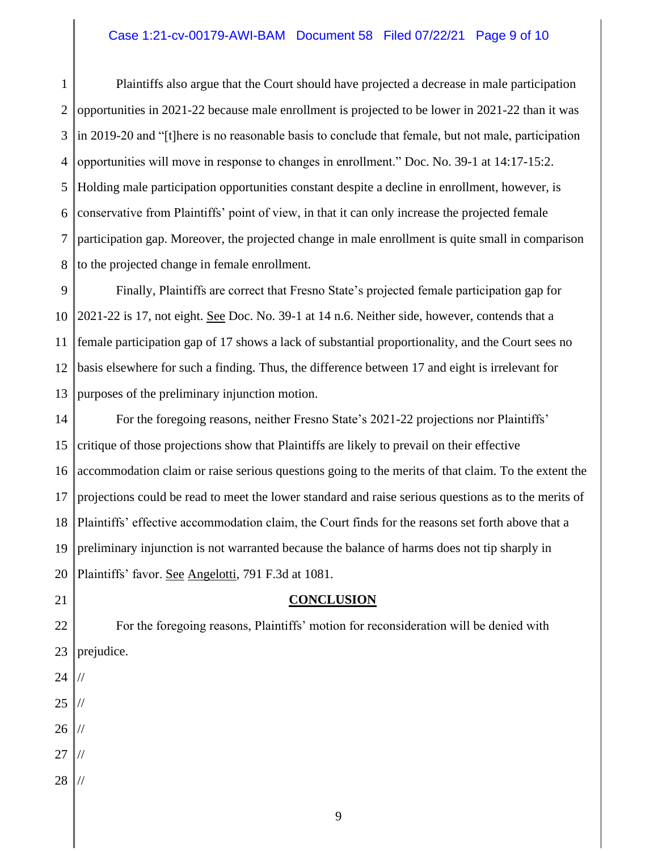## Case 1:21-cv-00179-AWI-BAM Document 58 Filed 07/22/21 Page 9 of 10

1 2 3 4 5 6 7 8 Plaintiffs also argue that the Court should have projected a decrease in male participation opportunities in 2021-22 because male enrollment is projected to be lower in 2021-22 than it was in 2019-20 and "[t]here is no reasonable basis to conclude that female, but not male, participation opportunities will move in response to changes in enrollment." Doc. No. 39-1 at 14:17-15:2. Holding male participation opportunities constant despite a decline in enrollment, however, is conservative from Plaintiffs' point of view, in that it can only increase the projected female participation gap. Moreover, the projected change in male enrollment is quite small in comparison to the projected change in female enrollment.

9 10 11 12 13 Finally, Plaintiffs are correct that Fresno State's projected female participation gap for 2021-22 is 17, not eight. See Doc. No. 39-1 at 14 n.6. Neither side, however, contends that a female participation gap of 17 shows a lack of substantial proportionality, and the Court sees no basis elsewhere for such a finding. Thus, the difference between 17 and eight is irrelevant for purposes of the preliminary injunction motion.

14 15 16 17 18 19 20 For the foregoing reasons, neither Fresno State's 2021-22 projections nor Plaintiffs' critique of those projections show that Plaintiffs are likely to prevail on their effective accommodation claim or raise serious questions going to the merits of that claim. To the extent the projections could be read to meet the lower standard and raise serious questions as to the merits of Plaintiffs' effective accommodation claim, the Court finds for the reasons set forth above that a preliminary injunction is not warranted because the balance of harms does not tip sharply in Plaintiffs' favor. See Angelotti, 791 F.3d at 1081.

### **CONCLUSION**

22 23 For the foregoing reasons, Plaintiffs' motion for reconsideration will be denied with prejudice.

24 //

- 25 //
- 26 //
- 27 //
- 28 //